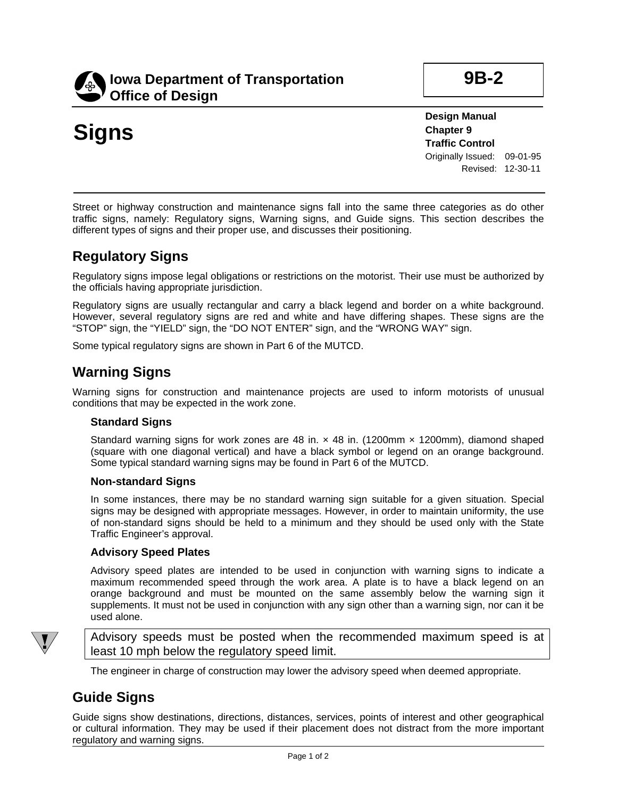

**9B-2**

# **Signs**

**Design Manual Chapter 9 Traffic Control** Originally Issued: 09-01-95 Revised: 12-30-11

Street or highway construction and maintenance signs fall into the same three categories as do other traffic signs, namely: Regulatory signs, Warning signs, and Guide signs. This section describes the different types of signs and their proper use, and discusses their positioning.

## **Regulatory Signs**

Regulatory signs impose legal obligations or restrictions on the motorist. Their use must be authorized by the officials having appropriate jurisdiction.

Regulatory signs are usually rectangular and carry a black legend and border on a white background. However, several regulatory signs are red and white and have differing shapes. These signs are the "STOP" sign, the "YIELD" sign, the "DO NOT ENTER" sign, and the "WRONG WAY" sign.

Some typical regulatory signs are shown in Part 6 of the MUTCD.

## **Warning Signs**

Warning signs for construction and maintenance projects are used to inform motorists of unusual conditions that may be expected in the work zone.

#### **Standard Signs**

Standard warning signs for work zones are 48 in.  $\times$  48 in. (1200mm  $\times$  1200mm), diamond shaped (square with one diagonal vertical) and have a black symbol or legend on an orange background. Some typical standard warning signs may be found in Part 6 of the MUTCD.

#### **Non-standard Signs**

In some instances, there may be no standard warning sign suitable for a given situation. Special signs may be designed with appropriate messages. However, in order to maintain uniformity, the use of non-standard signs should be held to a minimum and they should be used only with the State Traffic Engineer's approval.

#### **Advisory Speed Plates**

Advisory speed plates are intended to be used in conjunction with warning signs to indicate a maximum recommended speed through the work area. A plate is to have a black legend on an orange background and must be mounted on the same assembly below the warning sign it supplements. It must not be used in conjunction with any sign other than a warning sign, nor can it be used alone.



Advisory speeds must be posted when the recommended maximum speed is at least 10 mph below the regulatory speed limit.

The engineer in charge of construction may lower the advisory speed when deemed appropriate.

### **Guide Signs**

Guide signs show destinations, directions, distances, services, points of interest and other geographical or cultural information. They may be used if their placement does not distract from the more important regulatory and warning signs.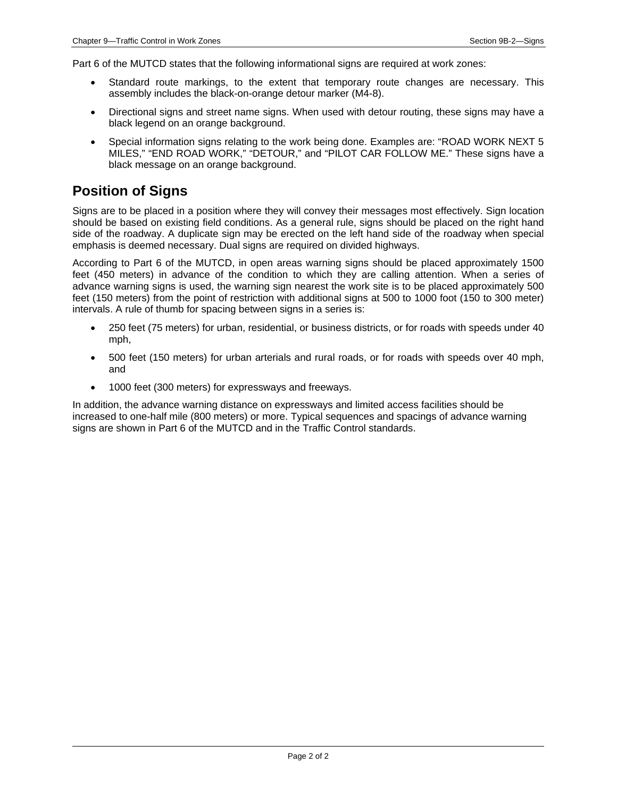Part 6 of the MUTCD states that the following informational signs are required at work zones:

- Standard route markings, to the extent that temporary route changes are necessary. This assembly includes the black-on-orange detour marker (M4-8).
- Directional signs and street name signs. When used with detour routing, these signs may have a black legend on an orange background.
- Special information signs relating to the work being done. Examples are: "ROAD WORK NEXT 5 MILES," "END ROAD WORK," "DETOUR," and "PILOT CAR FOLLOW ME." These signs have a black message on an orange background.

### **Position of Signs**

Signs are to be placed in a position where they will convey their messages most effectively. Sign location should be based on existing field conditions. As a general rule, signs should be placed on the right hand side of the roadway. A duplicate sign may be erected on the left hand side of the roadway when special emphasis is deemed necessary. Dual signs are required on divided highways.

According to Part 6 of the MUTCD, in open areas warning signs should be placed approximately 1500 feet (450 meters) in advance of the condition to which they are calling attention. When a series of advance warning signs is used, the warning sign nearest the work site is to be placed approximately 500 feet (150 meters) from the point of restriction with additional signs at 500 to 1000 foot (150 to 300 meter) intervals. A rule of thumb for spacing between signs in a series is:

- 250 feet (75 meters) for urban, residential, or business districts, or for roads with speeds under 40 mph,
- 500 feet (150 meters) for urban arterials and rural roads, or for roads with speeds over 40 mph, and
- 1000 feet (300 meters) for expressways and freeways.

In addition, the advance warning distance on expressways and limited access facilities should be increased to one-half mile (800 meters) or more. Typical sequences and spacings of advance warning signs are shown in Part 6 of the MUTCD and in the Traffic Control standards.